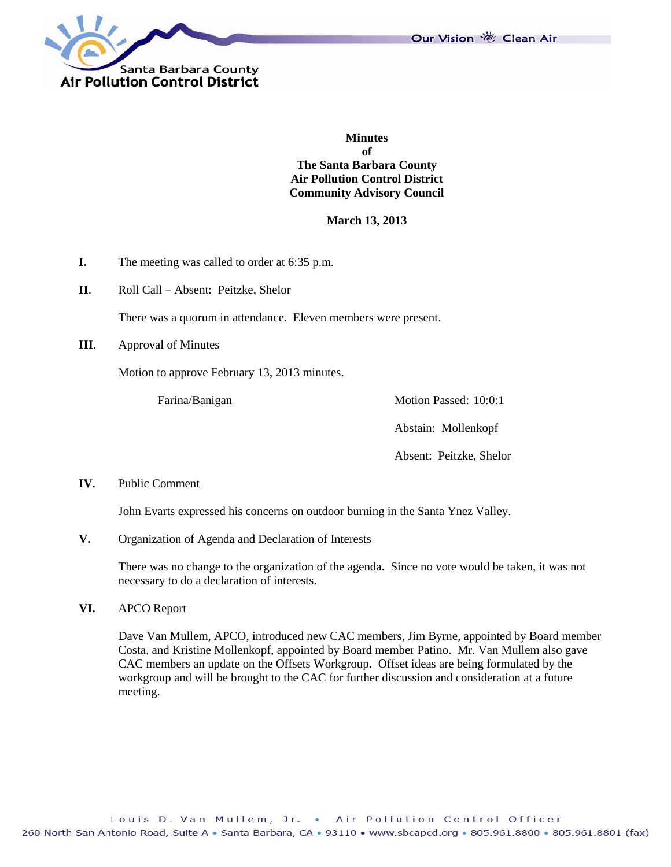



**Minutes of The Santa Barbara County Air Pollution Control District Community Advisory Council**

**March 13, 2013**

- **I.** The meeting was called to order at 6:35 p.m.
- **II**. Roll Call Absent: Peitzke, Shelor

There was a quorum in attendance. Eleven members were present.

**III**. Approval of Minutes

Motion to approve February 13, 2013 minutes.

Farina/Banigan Motion Passed: 10:0:1

Abstain: Mollenkopf

Absent: Peitzke, Shelor

#### **IV.** Public Comment

John Evarts expressed his concerns on outdoor burning in the Santa Ynez Valley.

**V.** Organization of Agenda and Declaration of Interests

There was no change to the organization of the agenda**.** Since no vote would be taken, it was not necessary to do a declaration of interests.

**VI.** APCO Report

Dave Van Mullem, APCO, introduced new CAC members, Jim Byrne, appointed by Board member Costa, and Kristine Mollenkopf, appointed by Board member Patino. Mr. Van Mullem also gave CAC members an update on the Offsets Workgroup. Offset ideas are being formulated by the workgroup and will be brought to the CAC for further discussion and consideration at a future meeting.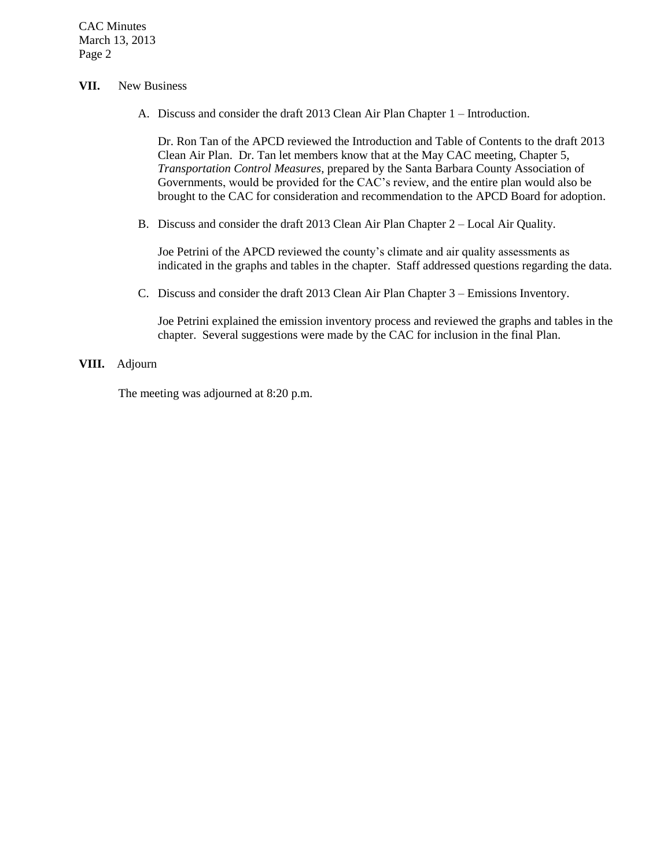CAC Minutes March 13, 2013 Page 2

### **VII.** New Business

A. Discuss and consider the draft 2013 Clean Air Plan Chapter 1 – Introduction.

Dr. Ron Tan of the APCD reviewed the Introduction and Table of Contents to the draft 2013 Clean Air Plan. Dr. Tan let members know that at the May CAC meeting, Chapter 5, *Transportation Control Measures*, prepared by the Santa Barbara County Association of Governments, would be provided for the CAC's review, and the entire plan would also be brought to the CAC for consideration and recommendation to the APCD Board for adoption.

B. Discuss and consider the draft 2013 Clean Air Plan Chapter 2 – Local Air Quality.

Joe Petrini of the APCD reviewed the county's climate and air quality assessments as indicated in the graphs and tables in the chapter. Staff addressed questions regarding the data.

C. Discuss and consider the draft 2013 Clean Air Plan Chapter 3 – Emissions Inventory.

Joe Petrini explained the emission inventory process and reviewed the graphs and tables in the chapter. Several suggestions were made by the CAC for inclusion in the final Plan.

# **VIII.** Adjourn

The meeting was adjourned at 8:20 p.m.